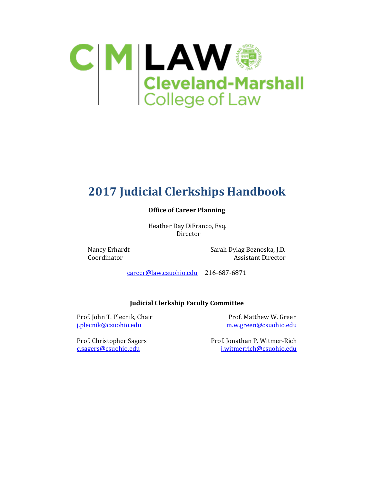

# **2017 Judicial Clerkships Handbook**

#### **Office of Career Planning**

 Heather Day DiFranco, Esq. Director

Nancy Erhardt Sarah Dylag Beznoska, J.D.<br>Coordinator Sarah Assistant Director Assistant Director

[career@law.csuohio.edu](mailto:career@law.csuohio.edu) 216-687-6871

#### **Judicial Clerkship Faculty Committee**

Prof. John T. Plecnik, Chair Prof. Matthew W. Green<br>
<u>j.plecnik@csuohio.edu</u> m.w.green@csuohio.edu [j.plecnik@csuohio.edu](mailto:j.plecnik@csuohio.edu)

Prof. Christopher Sagers Prof. Jonathan P. Witmer-Rich<br>
<u>c.sagers@csuohio.edu</u><br>
interrich@csuohio.edu [j.witmerrich@csuohio.edu](mailto:j.witmerrich@csuohio.edu)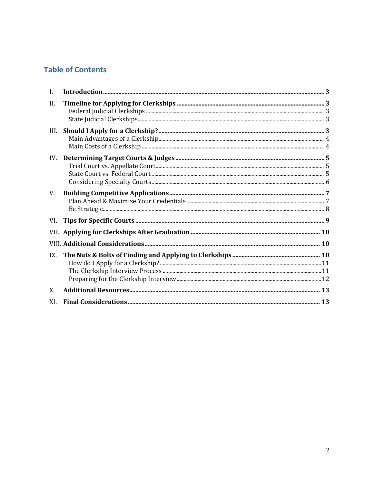### **Table of Contents**

| $\mathbf{I}$ . |  |
|----------------|--|
| II.            |  |
| III.           |  |
| IV.            |  |
| V.             |  |
| VI.            |  |
|                |  |
|                |  |
| IX.            |  |
| X.             |  |
| XI.            |  |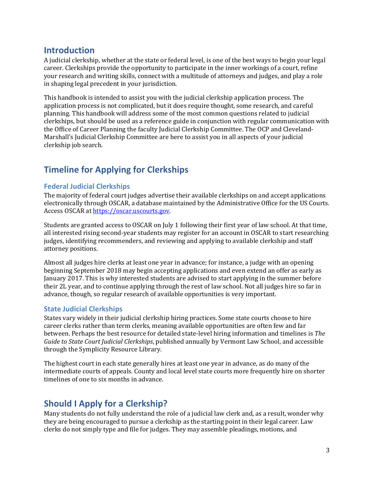### <span id="page-2-0"></span>**Introduction**

A judicial clerkship, whether at the state or federal level, is one of the best ways to begin your legal career. Clerkships provide the opportunity to participate in the inner workings of a court, refine your research and writing skills, connect with a multitude of attorneys and judges, and play a role in shaping legal precedent in your jurisdiction.

This handbook is intended to assist you with the judicial clerkship application process. The application process is not complicated, but it does require thought, some research, and careful planning. This handbook will address some of the most common questions related to judicial clerkships, but should be used as a reference guide in conjunction with regular communication with the Office of Career Planning the faculty Judicial Clerkship Committee. The OCP and Cleveland-Marshall's Judicial Clerkship Committee are here to assist you in all aspects of your judicial clerkship job search.

# <span id="page-2-1"></span>**Timeline for Applying for Clerkships**

### <span id="page-2-2"></span>**Federal Judicial Clerkships**

The majority of federal court judges advertise their available clerkships on and accept applications electronically through OSCAR, a database maintained by the Administrative Office for the US Courts. Access OSCAR a[t https://oscar.uscourts.gov.](https://oscar.uscourts.gov/) 

Students are granted access to OSCAR on July 1 following their first year of law school. At that time, all interested rising second-year students may register for an account in OSCAR to start researching judges, identifying recommenders, and reviewing and applying to available clerkship and staff attorney positions.

Almost all judges hire clerks at least one year in advance; for instance, a judge with an opening beginning September 2018 may begin accepting applications and even extend an offer as early as January 2017. This is why interested students are advised to start applying in the summer before their 2L year, and to continue applying through the rest of law school. Not all judges hire so far in advance, though, so regular research of available opportunities is very important.

### <span id="page-2-3"></span>**State Judicial Clerkships**

States vary widely in their judicial clerkship hiring practices. Some state courts choose to hire career clerks rather than term clerks, meaning available opportunities are often few and far between. Perhaps the best resource for detailed state-level hiring information and timelines is *The Guide to State Court Judicial Clerkships*, published annually by Vermont Law School, and accessible through the Symplicity Resource Library.

The highest court in each state generally hires at least one year in advance, as do many of the intermediate courts of appeals. County and local level state courts more frequently hire on shorter timelines of one to six months in advance.

### <span id="page-2-4"></span>**Should I Apply for a Clerkship?**

Many students do not fully understand the role of a judicial law clerk and, as a result, wonder why they are being encouraged to pursue a clerkship as the starting point in their legal career. Law clerks do not simply type and file for judges. They may assemble pleadings, motions, and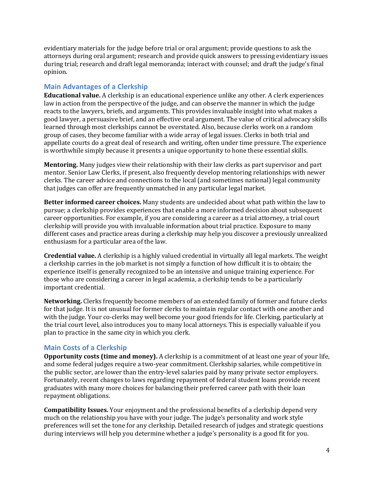evidentiary materials for the judge before trial or oral argument; provide questions to ask the attorneys during oral argument; research and provide quick answers to pressing evidentiary issues during trial; research and draft legal memoranda; interact with counsel; and draft the judge's final opinion.

### <span id="page-3-0"></span>**Main Advantages of a Clerkship**

**Educational value.** A clerkship is an educational experience unlike any other. A clerk experiences law in action from the perspective of the judge, and can observe the manner in which the judge reacts to the lawyers, briefs, and arguments. This provides invaluable insight into what makes a good lawyer, a persuasive brief, and an effective oral argument. The value of critical advocacy skills learned through most clerkships cannot be overstated. Also, because clerks work on a random group of cases, they become familiar with a wide array of legal issues. Clerks in both trial and appellate courts do a great deal of research and writing, often under time pressure. The experience is worthwhile simply because it presents a unique opportunity to hone these essential skills.

**Mentoring.** Many judges view their relationship with their law clerks as part supervisor and part mentor. Senior Law Clerks, if present, also frequently develop mentoring relationships with newer clerks. The career advice and connections to the local (and sometimes national) legal community that judges can offer are frequently unmatched in any particular legal market.

**Better informed career choices.** Many students are undecided about what path within the law to pursue; a clerkship provides experiences that enable a more informed decision about subsequent career opportunities. For example, if you are considering a career as a trial attorney, a trial court clerkship will provide you with invaluable information about trial practice. Exposure to many different cases and practice areas during a clerkship may help you discover a previously unrealized enthusiasm for a particular area of the law.

**Credential value.** A clerkship is a highly valued credential in virtually all legal markets. The weight a clerkship carries in the job market is not simply a function of how difficult it is to obtain; the experience itself is generally recognized to be an intensive and unique training experience. For those who are considering a career in legal academia, a clerkship tends to be a particularly important credential.

**Networking.** Clerks frequently become members of an extended family of former and future clerks for that judge. It is not unusual for former clerks to maintain regular contact with one another and with the judge. Your co-clerks may well become your good friends for life. Clerking, particularly at the trial court level, also introduces you to many local attorneys. This is especially valuable if you plan to practice in the same city in which you clerk.

### <span id="page-3-1"></span>**Main Costs of a Clerkship**

**Opportunity costs (time and money).** A clerkship is a commitment of at least one year of your life, and some federal judges require a two-year commitment. Clerkship salaries, while competitive in the public sector, are lower than the entry-level salaries paid by many private sector employers. Fortunately, recent changes to laws regarding repayment of federal student loans provide recent graduates with many more choices for balancing their preferred career path with their loan repayment obligations.

**Compatibility Issues.** Your enjoyment and the professional benefits of a clerkship depend very much on the relationship you have with your judge. The judge's personality and work style preferences will set the tone for any clerkship. Detailed research of judges and strategic questions during interviews will help you determine whether a judge's personality is a good fit for you.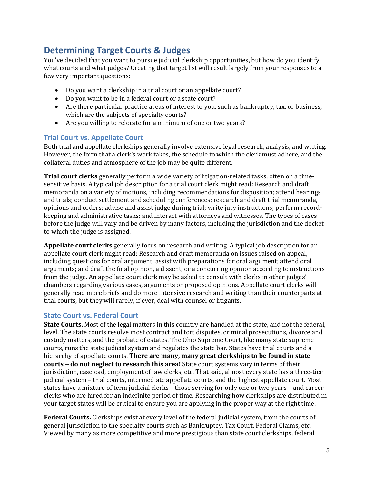### <span id="page-4-0"></span>**Determining Target Courts & Judges**

You've decided that you want to pursue judicial clerkship opportunities, but how do you identify what courts and what judges? Creating that target list will result largely from your responses to a few very important questions:

- Do you want a clerkship in a trial court or an appellate court?
- Do you want to be in a federal court or a state court?
- Are there particular practice areas of interest to you, such as bankruptcy, tax, or business, which are the subjects of specialty courts?
- Are you willing to relocate for a minimum of one or two years?

#### <span id="page-4-1"></span>**Trial Court vs. Appellate Court**

Both trial and appellate clerkships generally involve extensive legal research, analysis, and writing. However, the form that a clerk's work takes, the schedule to which the clerk must adhere, and the collateral duties and atmosphere of the job may be quite different.

**Trial court clerks** generally perform a wide variety of litigation-related tasks, often on a timesensitive basis. A typical job description for a trial court clerk might read: Research and draft memoranda on a variety of motions, including recommendations for disposition; attend hearings and trials; conduct settlement and scheduling conferences; research and draft trial memoranda, opinions and orders; advise and assist judge during trial; write jury instructions; perform recordkeeping and administrative tasks; and interact with attorneys and witnesses. The types of cases before the judge will vary and be driven by many factors, including the jurisdiction and the docket to which the judge is assigned.

**Appellate court clerks** generally focus on research and writing. A typical job description for an appellate court clerk might read: Research and draft memoranda on issues raised on appeal, including questions for oral argument; assist with preparations for oral argument; attend oral arguments; and draft the final opinion, a dissent, or a concurring opinion according to instructions from the judge. An appellate court clerk may be asked to consult with clerks in other judges' chambers regarding various cases, arguments or proposed opinions. Appellate court clerks will generally read more briefs and do more intensive research and writing than their counterparts at trial courts, but they will rarely, if ever, deal with counsel or litigants.

#### <span id="page-4-2"></span>**State Court vs. Federal Court**

**State Courts.** Most of the legal matters in this country are handled at the state, and not the federal, level. The state courts resolve most contract and tort disputes, criminal prosecutions, divorce and custody matters, and the probate of estates. The Ohio Supreme Court, like many state supreme courts, runs the state judicial system and regulates the state bar. States have trial courts and a hierarchy of appellate courts. **There are many, many great clerkships to be found in state courts** − **do not neglect to research this area!** State court systems vary in terms of their jurisdiction, caseload, employment of law clerks, etc. That said, almost every state has a three-tier judicial system – trial courts, intermediate appellate courts, and the highest appellate court. Most states have a mixture of term judicial clerks – those serving for only one or two years – and career clerks who are hired for an indefinite period of time. Researching how clerkships are distributed in your target states will be critical to ensure you are applying in the proper way at the right time.

**Federal Courts.** Clerkships exist at every level of the federal judicial system, from the courts of general jurisdiction to the specialty courts such as Bankruptcy, Tax Court, Federal Claims, etc. Viewed by many as more competitive and more prestigious than state court clerkships, federal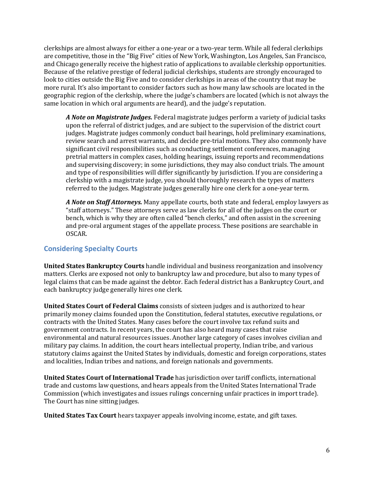clerkships are almost always for either a one-year or a two-year term. While all federal clerkships are competitive, those in the "Big Five" cities of New York, Washington, Los Angeles, San Francisco, and Chicago generally receive the highest ratio of applications to available clerkship opportunities. Because of the relative prestige of federal judicial clerkships, students are strongly encouraged to look to cities outside the Big Five and to consider clerkships in areas of the country that may be more rural. It's also important to consider factors such as how many law schools are located in the geographic region of the clerkship, where the judge's chambers are located (which is not always the same location in which oral arguments are heard), and the judge's reputation.

*A Note on Magistrate Judges.* Federal magistrate judges perform a variety of judicial tasks upon the referral of district judges, and are subject to the supervision of the district court judges. Magistrate judges commonly conduct bail hearings, hold preliminary examinations, review search and arrest warrants, and decide pre-trial motions. They also commonly have significant civil responsibilities such as conducting settlement conferences, managing pretrial matters in complex cases, holding hearings, issuing reports and recommendations and supervising discovery; in some jurisdictions, they may also conduct trials. The amount and type of responsibilities will differ significantly by jurisdiction. If you are considering a clerkship with a magistrate judge, you should thoroughly research the types of matters referred to the judges. Magistrate judges generally hire one clerk for a one-year term.

*A Note on Staff Attorneys.* Many appellate courts, both state and federal, employ lawyers as "staff attorneys." These attorneys serve as law clerks for all of the judges on the court or bench, which is why they are often called "bench clerks," and often assist in the screening and pre-oral argument stages of the appellate process. These positions are searchable in OSCAR.

### <span id="page-5-0"></span>**Considering Specialty Courts**

**United States Bankruptcy Courts** handle individual and business reorganization and insolvency matters. Clerks are exposed not only to bankruptcy law and procedure, but also to many types of legal claims that can be made against the debtor. Each federal district has a Bankruptcy Court, and each bankruptcy judge generally hires one clerk.

**United States Court of Federal Claims** consists of sixteen judges and is authorized to hear primarily money claims founded upon the Constitution, federal statutes, executive regulations, or contracts with the United States. Many cases before the court involve tax refund suits and government contracts. In recent years, the court has also heard many cases that raise environmental and natural resources issues. Another large category of cases involves civilian and military pay claims. In addition, the court hears intellectual property, Indian tribe, and various statutory claims against the United States by individuals, domestic and foreign corporations, states and localities, Indian tribes and nations, and foreign nationals and governments.

**United States Court of International Trade** has jurisdiction over tariff conflicts, international trade and customs law questions, and hears appeals from the United States International Trade Commission (which investigates and issues rulings concerning unfair practices in import trade). The Court has nine sitting judges.

**United States Tax Court** hears taxpayer appeals involving income, estate, and gift taxes.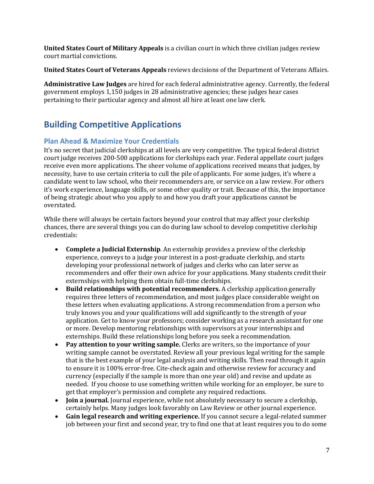**United States Court of Military Appeals** is a civilian court in which three civilian judges review court martial convictions.

**United States Court of Veterans Appeals** reviews decisions of the Department of Veterans Affairs.

**Administrative Law Judges** are hired for each federal administrative agency. Currently, the federal government employs 1,150 judges in 28 administrative agencies; these judges hear cases pertaining to their particular agency and almost all hire at least one law clerk.

## <span id="page-6-0"></span>**Building Competitive Applications**

### <span id="page-6-1"></span>**Plan Ahead & Maximize Your Credentials**

It's no secret that judicial clerkships at all levels are very competitive. The typical federal district court judge receives 200-500 applications for clerkships each year. Federal appellate court judges receive even more applications. The sheer volume of applications received means that judges, by necessity, have to use certain criteria to cull the pile of applicants. For some judges, it's where a candidate went to law school, who their recommenders are, or service on a law review. For others it's work experience, language skills, or some other quality or trait. Because of this, the importance of being strategic about who you apply to and how you draft your applications cannot be overstated.

While there will always be certain factors beyond your control that may affect your clerkship chances, there are several things you can do during law school to develop competitive clerkship credentials:

- **Complete a Judicial Externship**. An externship provides a preview of the clerkship experience, conveys to a judge your interest in a post-graduate clerkship, and starts developing your professional network of judges and clerks who can later serve as recommenders and offer their own advice for your applications. Many students credit their externships with helping them obtain full-time clerkships.
- **Build relationships with potential recommenders.** A clerkship application generally requires three letters of recommendation, and most judges place considerable weight on these letters when evaluating applications. A strong recommendation from a person who truly knows you and your qualifications will add significantly to the strength of your application. Get to know your professors; consider working as a research assistant for one or more. Develop mentoring relationships with supervisors at your internships and externships. Build these relationships long before you seek a recommendation.
- **Pay attention to your writing sample.** Clerks are writers, so the importance of your writing sample cannot be overstated. Review all your previous legal writing for the sample that is the best example of your legal analysis and writing skills. Then read through it again to ensure it is 100% error-free. Cite-check again and otherwise review for accuracy and currency (especially if the sample is more than one year old) and revise and update as needed. If you choose to use something written while working for an employer, be sure to get that employer's permission and complete any required redactions.
- **Join a journal.** Journal experience, while not absolutely necessary to secure a clerkship, certainly helps. Many judges look favorably on Law Review or other journal experience.
- **Gain legal research and writing experience.** If you cannot secure a legal-related summer job between your first and second year, try to find one that at least requires you to do some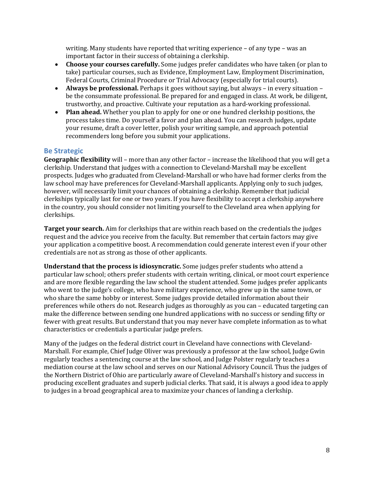writing. Many students have reported that writing experience – of any type – was an important factor in their success of obtaining a clerkship.

- **Choose your courses carefully.** Some judges prefer candidates who have taken (or plan to take) particular courses, such as Evidence, Employment Law, Employment Discrimination, Federal Courts, Criminal Procedure or Trial Advocacy (especially for trial courts).
- **Always be professional.** Perhaps it goes without saying, but always in every situation be the consummate professional. Be prepared for and engaged in class. At work, be diligent, trustworthy, and proactive. Cultivate your reputation as a hard-working professional.
- **Plan ahead.** Whether you plan to apply for one or one hundred clerkship positions, the process takes time. Do yourself a favor and plan ahead. You can research judges, update your resume, draft a cover letter, polish your writing sample, and approach potential recommenders long before you submit your applications.

#### <span id="page-7-0"></span>**Be Strategic**

**Geographic flexibility** will – more than any other factor – increase the likelihood that you will get a clerkship. Understand that judges with a connection to Cleveland-Marshall may be excellent prospects. Judges who graduated from Cleveland-Marshall or who have had former clerks from the law school may have preferences for Cleveland-Marshall applicants. Applying only to such judges, however, will necessarily limit your chances of obtaining a clerkship. Remember that judicial clerkships typically last for one or two years. If you have flexibility to accept a clerkship anywhere in the country, you should consider not limiting yourself to the Cleveland area when applying for clerkships.

**Target your search.** Aim for clerkships that are within reach based on the credentials the judges request and the advice you receive from the faculty. But remember that certain factors may give your application a competitive boost. A recommendation could generate interest even if your other credentials are not as strong as those of other applicants.

**Understand that the process is idiosyncratic.** Some judges prefer students who attend a particular law school; others prefer students with certain writing, clinical, or moot court experience and are more flexible regarding the law school the student attended. Some judges prefer applicants who went to the judge's college, who have military experience, who grew up in the same town, or who share the same hobby or interest. Some judges provide detailed information about their preferences while others do not. Research judges as thoroughly as you can – educated targeting can make the difference between sending one hundred applications with no success or sending fifty or fewer with great results. But understand that you may never have complete information as to what characteristics or credentials a particular judge prefers.

Many of the judges on the federal district court in Cleveland have connections with Cleveland-Marshall. For example, Chief Judge Oliver was previously a professor at the law school, Judge Gwin regularly teaches a sentencing course at the law school, and Judge Polster regularly teaches a mediation course at the law school and serves on our National Advisory Council. Thus the judges of the Northern District of Ohio are particularly aware of Cleveland-Marshall's history and success in producing excellent graduates and superb judicial clerks. That said, it is always a good idea to apply to judges in a broad geographical area to maximize your chances of landing a clerkship.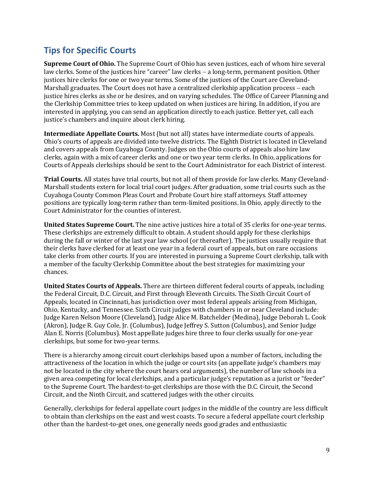# <span id="page-8-0"></span>**Tips for Specific Courts**

**Supreme Court of Ohio.** The Supreme Court of Ohio has seven justices, each of whom hire several law clerks. Some of the justices hire "career" law clerks − a long-term, permanent position. Other justices hire clerks for one or two year terms. Some of the justices of the Court are Cleveland-Marshall graduates. The Court does not have a centralized clerkship application process – each justice hires clerks as she or he desires, and on varying schedules. The Office of Career Planning and the Clerkship Committee tries to keep updated on when justices are hiring. In addition, if you are interested in applying, you can send an application directly to each justice. Better yet, call each justice's chambers and inquire about clerk hiring.

**Intermediate Appellate Courts.** Most (but not all) states have intermediate courts of appeals. Ohio's courts of appeals are divided into twelve districts. The Eighth District is located in Cleveland and covers appeals from Cuyahoga County. Judges on the Ohio courts of appeals also hire law clerks, again with a mix of career clerks and one or two year term clerks. In Ohio, applications for Courts of Appeals clerkships should be sent to the Court Administrator for each District of interest.

**Trial Courts.** All states have trial courts, but not all of them provide for law clerks. Many Cleveland-Marshall students extern for local trial court judges. After graduation, some trial courts such as the Cuyahoga County Common Pleas Court and Probate Court hire staff attorneys. Staff attorney positions are typically long-term rather than term-limited positions. In Ohio, apply directly to the Court Administrator for the counties of interest.

**United States Supreme Court.** The nine active justices hire a total of 35 clerks for one-year terms. These clerkships are extremely difficult to obtain. A student should apply for these clerkships during the fall or winter of the last year law school (or thereafter). The justices usually require that their clerks have clerked for at least one year in a federal court of appeals, but on rare occasions take clerks from other courts. If you are interested in pursuing a Supreme Court clerkship, talk with a member of the faculty Clerkship Committee about the best strategies for maximizing your chances.

**United States Courts of Appeals.** There are thirteen different federal courts of appeals, including the Federal Circuit, D.C. Circuit, and First through Eleventh Circuits. The Sixth Circuit Court of Appeals, located in Cincinnati, has jurisdiction over most federal appeals arising from Michigan, Ohio, Kentucky, and Tennessee. Sixth Circuit judges with chambers in or near Cleveland include: Judge Karen Nelson Moore (Cleveland), Judge Alice M. Batchelder (Medina), Judge Deborah L. Cook (Akron), Judge R. Guy Cole, Jr. (Columbus), Judge Jeffrey S. Sutton (Columbus), and Senior Judge Alan E. Norris (Columbus). Most appellate judges hire three to four clerks usually for one-year clerkships, but some for two-year terms.

There is a hierarchy among circuit court clerkships based upon a number of factors, including the attractiveness of the location in which the judge or court sits (an appellate judge's chambers may not be located in the city where the court hears oral arguments), the number of law schools in a given area competing for local clerkships, and a particular judge's reputation as a jurist or "feeder" to the Supreme Court. The hardest-to-get clerkships are those with the D.C. Circuit, the Second Circuit, and the Ninth Circuit, and scattered judges with the other circuits.

Generally, clerkships for federal appellate court judges in the middle of the country are less difficult to obtain than clerkships on the east and west coasts. To secure a federal appellate court clerkship other than the hardest-to-get ones, one generally needs good grades and enthusiastic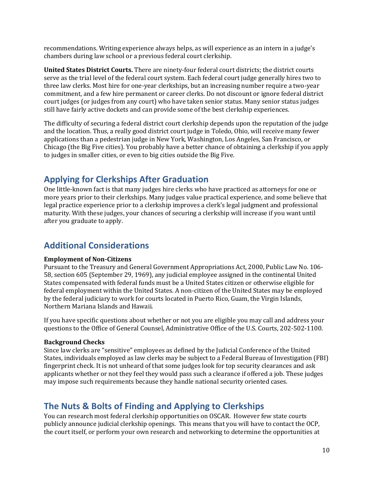recommendations. Writing experience always helps, as will experience as an intern in a judge's chambers during law school or a previous federal court clerkship.

**United States District Courts.** There are ninety-four federal court districts; the district courts serve as the trial level of the federal court system. Each federal court judge generally hires two to three law clerks. Most hire for one-year clerkships, but an increasing number require a two-year commitment, and a few hire permanent or career clerks. Do not discount or ignore federal district court judges (or judges from any court) who have taken senior status. Many senior status judges still have fairly active dockets and can provide some of the best clerkship experiences.

The difficulty of securing a federal district court clerkship depends upon the reputation of the judge and the location. Thus, a really good district court judge in Toledo, Ohio, will receive many fewer applications than a pedestrian judge in New York, Washington, Los Angeles, San Francisco, or Chicago (the Big Five cities). You probably have a better chance of obtaining a clerkship if you apply to judges in smaller cities, or even to big cities outside the Big Five.

### <span id="page-9-0"></span>**Applying for Clerkships After Graduation**

One little-known fact is that many judges hire clerks who have practiced as attorneys for one or more years prior to their clerkships. Many judges value practical experience, and some believe that legal practice experience prior to a clerkship improves a clerk's legal judgment and professional maturity. With these judges, your chances of securing a clerkship will increase if you want until after you graduate to apply.

### <span id="page-9-1"></span>**Additional Considerations**

#### **Employment of Non-Citizens**

Pursuant to the Treasury and General Government Appropriations Act, 2000, Public Law No. 106- 58, section 605 (September 29, 1969), any judicial employee assigned in the continental United States compensated with federal funds must be a United States citizen or otherwise eligible for federal employment within the United States. A non-citizen of the United States may be employed by the federal judiciary to work for courts located in Puerto Rico, Guam, the Virgin Islands, Northern Mariana Islands and Hawaii.

If you have specific questions about whether or not you are eligible you may call and address your questions to the Office of General Counsel, Administrative Office of the U.S. Courts, 202-502-1100.

#### **Background Checks**

Since law clerks are "sensitive" employees as defined by the Judicial Conference of the United States, individuals employed as law clerks may be subject to a Federal Bureau of Investigation (FBI) fingerprint check. It is not unheard of that some judges look for top security clearances and ask applicants whether or not they feel they would pass such a clearance if offered a job. These judges may impose such requirements because they handle national security oriented cases.

## <span id="page-9-2"></span>**The Nuts & Bolts of Finding and Applying to Clerkships**

You can research most federal clerkship opportunities on OSCAR. However few state courts publicly announce judicial clerkship openings. This means that you will have to contact the OCP, the court itself, or perform your own research and networking to determine the opportunities at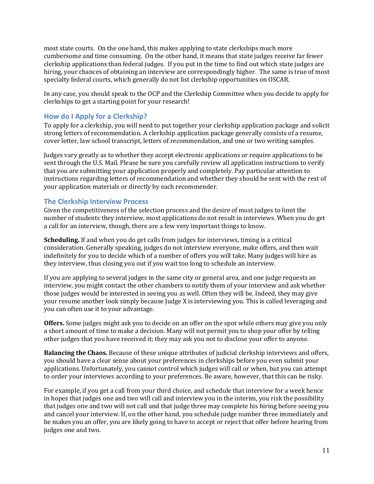most state courts. On the one hand, this makes applying to state clerkships much more cumbersome and time consuming. On the other hand, it means that state judges receive far fewer clerkship applications than federal judges. If you put in the time to find out which state judges are hiring, your chances of obtaining an interview are correspondingly higher. The same is true of most specialty federal courts, which generally do not list clerkship opportunities on OSCAR.

In any case, you should speak to the OCP and the Clerkship Committee when you decide to apply for clerkships to get a starting point for your research!

### <span id="page-10-0"></span>**How do I Apply for a Clerkship?**

To apply for a clerkship, you will need to put together your clerkship application package and solicit strong letters of recommendation. A clerkship application package generally consists of a resume, cover letter, law school transcript, letters of recommendation, and one or two writing samples.

Judges vary greatly as to whether they accept electronic applications or require applications to be sent through the U.S. Mail. Please be sure you carefully review all application instructions to verify that you are submitting your application properly and completely. Pay particular attention to instructions regarding letters of recommendation and whether they should be sent with the rest of your application materials or directly by each recommender.

### <span id="page-10-1"></span>**The Clerkship Interview Process**

Given the competitiveness of the selection process and the desire of most judges to limit the number of students they interview, most applications do not result in interviews. When you do get a call for an interview, though, there are a few very important things to know.

**Scheduling.** If and when you do get calls from judges for interviews, timing is a critical consideration. Generally speaking, judges do not interview everyone, make offers, and then wait indefinitely for you to decide which of a number of offers you will take. Many judges will hire as they interview, thus closing you out if you wait too long to schedule an interview.

If you are applying to several judges in the same city or general area, and one judge requests an interview, you might contact the other chambers to notify them of your interview and ask whether those judges would be interested in seeing you as well. Often they will be. Indeed, they may give your resume another look simply because Judge X is interviewing you. This is called leveraging and you can often use it to your advantage.

**Offers.** Some judges might ask you to decide on an offer on the spot while others may give you only a short amount of time to make a decision. Many will not permit you to shop your offer by telling other judges that you have received it; they may ask you not to disclose your offer to anyone.

**Balancing the Chaos.** Because of these unique attributes of judicial clerkship interviews and offers, you should have a clear sense about your preferences in clerkships before you even submit your applications. Unfortunately, you cannot control which judges will call or when, but you can attempt to order your interviews according to your preferences. Be aware, however, that this can be risky.

For example, if you get a call from your third choice, and schedule that interview for a week hence in hopes that judges one and two will call and interview you in the interim, you risk the possibility that judges one and two will not call and that judge three may complete his hiring before seeing you and cancel your interview. If, on the other hand, you schedule judge number three immediately and he makes you an offer, you are likely going to have to accept or reject that offer before hearing from judges one and two.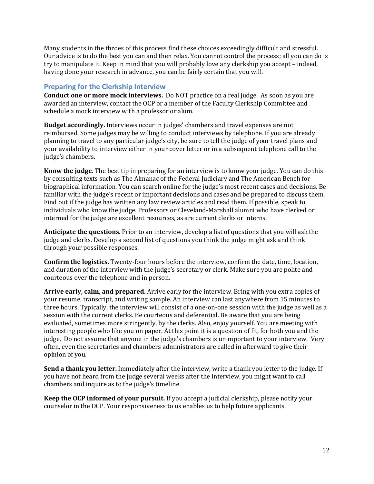Many students in the throes of this process find these choices exceedingly difficult and stressful. Our advice is to do the best you can and then relax. You cannot control the process; all you can do is try to manipulate it. Keep in mind that you will probably love any clerkship you accept – indeed, having done your research in advance, you can be fairly certain that you will.

### <span id="page-11-0"></span>**Preparing for the Clerkship Interview**

**Conduct one or more mock interviews.** Do NOT practice on a real judge. As soon as you are awarded an interview, contact the OCP or a member of the Faculty Clerkship Committee and schedule a mock interview with a professor or alum.

**Budget accordingly.** Interviews occur in judges' chambers and travel expenses are not reimbursed. Some judges may be willing to conduct interviews by telephone. If you are already planning to travel to any particular judge's city, be sure to tell the judge of your travel plans and your availability to interview either in your cover letter or in a subsequent telephone call to the judge's chambers.

**Know the judge.** The best tip in preparing for an interview is to know your judge. You can do this by consulting texts such as The Almanac of the Federal Judiciary and The American Bench for biographical information. You can search online for the judge's most recent cases and decisions. Be familiar with the judge's recent or important decisions and cases and be prepared to discuss them. Find out if the judge has written any law review articles and read them. If possible, speak to individuals who know the judge. Professors or Cleveland-Marshall alumni who have clerked or interned for the judge are excellent resources, as are current clerks or interns.

**Anticipate the questions.** Prior to an interview, develop a list of questions that you will ask the judge and clerks. Develop a second list of questions you think the judge might ask and think through your possible responses.

**Confirm the logistics.** Twenty-four hours before the interview, confirm the date, time, location, and duration of the interview with the judge's secretary or clerk. Make sure you are polite and courteous over the telephone and in person.

**Arrive early, calm, and prepared.** Arrive early for the interview. Bring with you extra copies of your resume, transcript, and writing sample. An interview can last anywhere from 15 minutes to three hours. Typically, the interview will consist of a one-on-one session with the judge as well as a session with the current clerks. Be courteous and deferential. Be aware that you are being evaluated, sometimes more stringently, by the clerks. Also, enjoy yourself. You are meeting with interesting people who like you on paper. At this point it is a question of fit, for both you and the judge. Do not assume that anyone in the judge's chambers is unimportant to your interview. Very often, even the secretaries and chambers administrators are called in afterward to give their opinion of you.

**Send a thank you letter.** Immediately after the interview, write a thank you letter to the judge. If you have not heard from the judge several weeks after the interview, you might want to call chambers and inquire as to the judge's timeline.

**Keep the OCP informed of your pursuit.** If you accept a judicial clerkship, please notify your counselor in the OCP. Your responsiveness to us enables us to help future applicants.